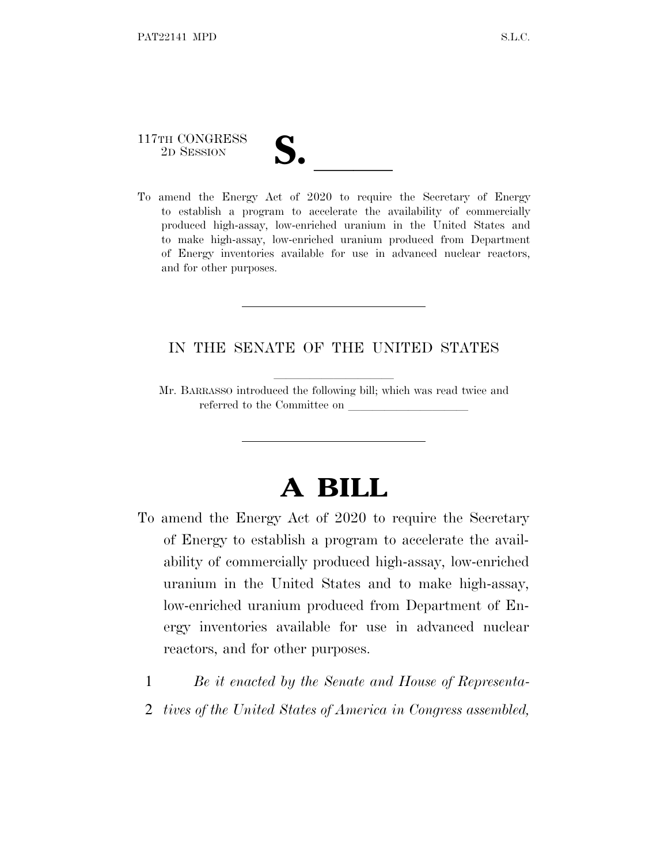117TH CONGRESS

- 
- 117TH CONGRESS<br>
2D SESSION<br>
To amend the Energy Act of 2020 to require the Secretary of Energy to establish a program to accelerate the availability of commercially produced high-assay, low-enriched uranium in the United States and to make high-assay, low-enriched uranium produced from Department of Energy inventories available for use in advanced nuclear reactors, and for other purposes.

# IN THE SENATE OF THE UNITED STATES

Mr. BARRASSO introduced the following bill; which was read twice and referred to the Committee on

# **A BILL**

- To amend the Energy Act of 2020 to require the Secretary of Energy to establish a program to accelerate the availability of commercially produced high-assay, low-enriched uranium in the United States and to make high-assay, low-enriched uranium produced from Department of Energy inventories available for use in advanced nuclear reactors, and for other purposes.
	- 1 *Be it enacted by the Senate and House of Representa-*
	- 2 *tives of the United States of America in Congress assembled,*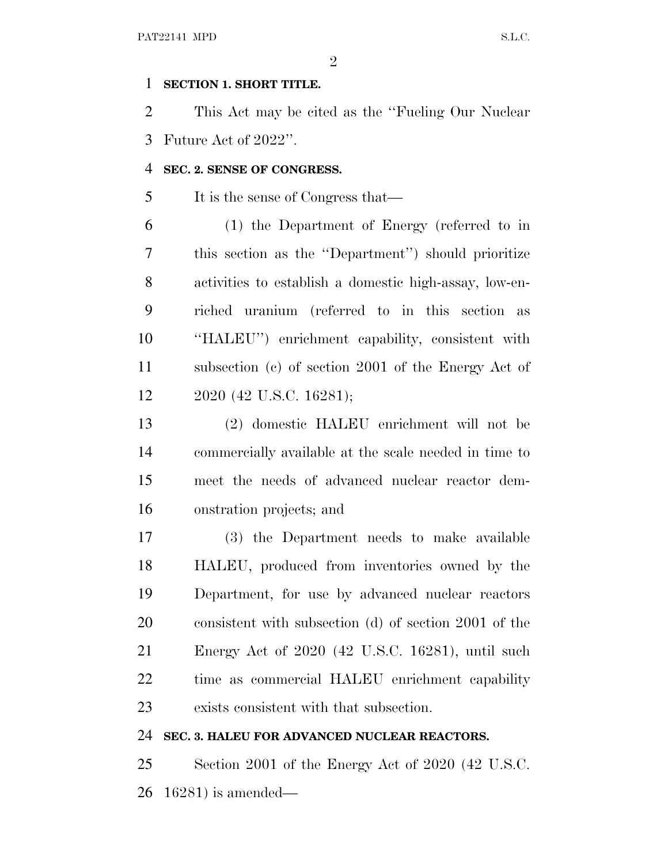#### **SECTION 1. SHORT TITLE.**

 This Act may be cited as the ''Fueling Our Nuclear Future Act of 2022''.

## **SEC. 2. SENSE OF CONGRESS.**

It is the sense of Congress that—

 (1) the Department of Energy (referred to in this section as the ''Department'') should prioritize activities to establish a domestic high-assay, low-en- riched uranium (referred to in this section as ''HALEU'') enrichment capability, consistent with subsection (c) of section 2001 of the Energy Act of 2020 (42 U.S.C. 16281);

 (2) domestic HALEU enrichment will not be commercially available at the scale needed in time to meet the needs of advanced nuclear reactor dem-onstration projects; and

 (3) the Department needs to make available HALEU, produced from inventories owned by the Department, for use by advanced nuclear reactors consistent with subsection (d) of section 2001 of the Energy Act of 2020 (42 U.S.C. 16281), until such time as commercial HALEU enrichment capability exists consistent with that subsection.

## **SEC. 3. HALEU FOR ADVANCED NUCLEAR REACTORS.**

 Section 2001 of the Energy Act of 2020 (42 U.S.C. 16281) is amended—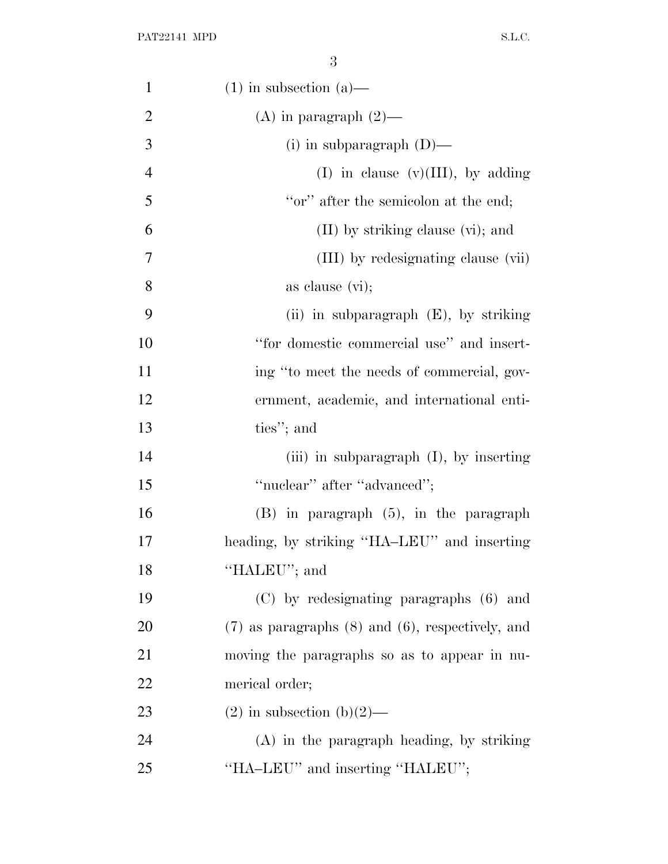| $\mathbf{1}$   | $(1)$ in subsection $(a)$ —                             |
|----------------|---------------------------------------------------------|
| $\overline{2}$ | $(A)$ in paragraph $(2)$ —                              |
| 3              | (i) in subparagraph $(D)$ —                             |
| $\overline{4}$ | (I) in clause $(v)(III)$ , by adding                    |
| 5              | "or" after the semicolon at the end;                    |
| 6              | $(II)$ by striking clause $(vi)$ ; and                  |
| 7              | (III) by redesignating clause (vii)                     |
| 8              | as clause $(vi)$ ;                                      |
| 9              | (ii) in subparagraph $(E)$ , by striking                |
| 10             | "for domestic commercial use" and insert-               |
| 11             | ing "to meet the needs of commercial, gov-              |
| 12             | ernment, academic, and international enti-              |
| 13             | ties"; and                                              |
| 14             | (iii) in subparagraph $(I)$ , by inserting              |
| 15             | "nuclear" after "advanced";                             |
| 16             | $(B)$ in paragraph $(5)$ , in the paragraph             |
| 17             | heading, by striking "HA-LEU" and inserting             |
| 18             | "HALEU"; and                                            |
| 19             | (C) by redesignating paragraphs (6) and                 |
| 20             | $(7)$ as paragraphs $(8)$ and $(6)$ , respectively, and |
| 21             | moving the paragraphs so as to appear in nu-            |
| 22             | merical order;                                          |
| 23             | $(2)$ in subsection $(b)(2)$ —                          |
| 24             | $(A)$ in the paragraph heading, by striking             |
| 25             | "HA-LEU" and inserting "HALEU";                         |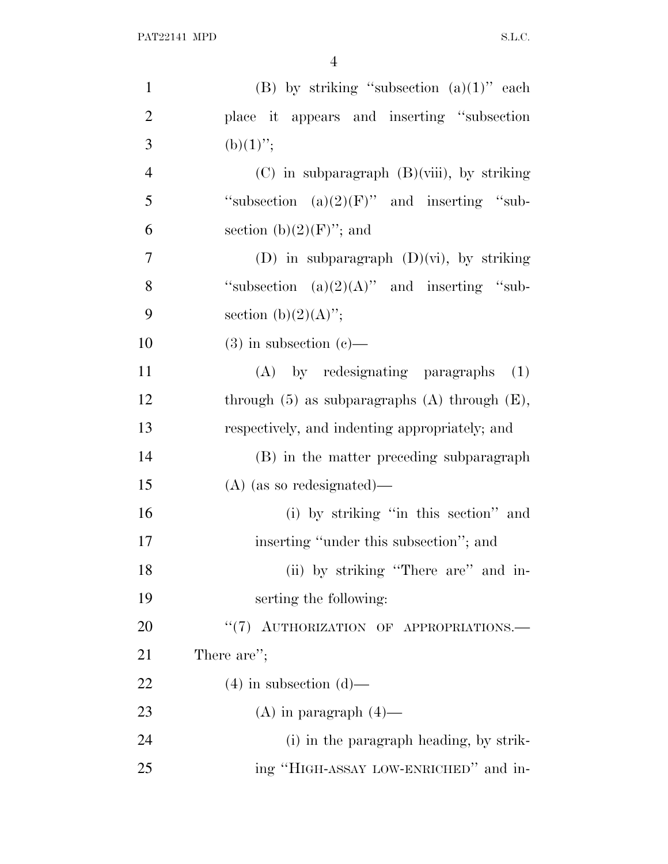| $\mathbf{1}$   | (B) by striking "subsection $(a)(1)$ " each          |
|----------------|------------------------------------------------------|
| $\overline{2}$ | place it appears and inserting "subsection           |
| 3              | $(b)(1)$ ";                                          |
| $\overline{4}$ | $(C)$ in subparagraph $(B)(viii)$ , by striking      |
| 5              | "subsection $(a)(2)(F)$ " and inserting "sub-        |
| 6              | section (b) $(2)(F)$ "; and                          |
| 7              | (D) in subparagraph $(D)(vi)$ , by striking          |
| 8              | "subsection $(a)(2)(A)$ " and inserting "sub-        |
| 9              | section (b) $(2)(A)$ ";                              |
| 10             | $(3)$ in subsection $(e)$ —                          |
| 11             | (A) by redesignating paragraphs<br>(1)               |
| 12             | through $(5)$ as subparagraphs $(A)$ through $(E)$ , |
| 13             | respectively, and indenting appropriately; and       |
| 14             | (B) in the matter preceding subparagraph             |
| 15             | $(A)$ (as so redesignated)—                          |
| 16             | (i) by striking "in this section" and                |
| 17             | inserting "under this subsection"; and               |
| 18             | (ii) by striking "There are" and in-                 |
| 19             | serting the following:                               |
| 20             | "(7) AUTHORIZATION OF APPROPRIATIONS.                |
| 21             | There are";                                          |
| 22             | $(4)$ in subsection $(d)$ —                          |
| 23             | $(A)$ in paragraph $(4)$ —                           |
| 24             | (i) in the paragraph heading, by strik-              |
| 25             | ing "HIGH-ASSAY LOW-ENRICHED" and in-                |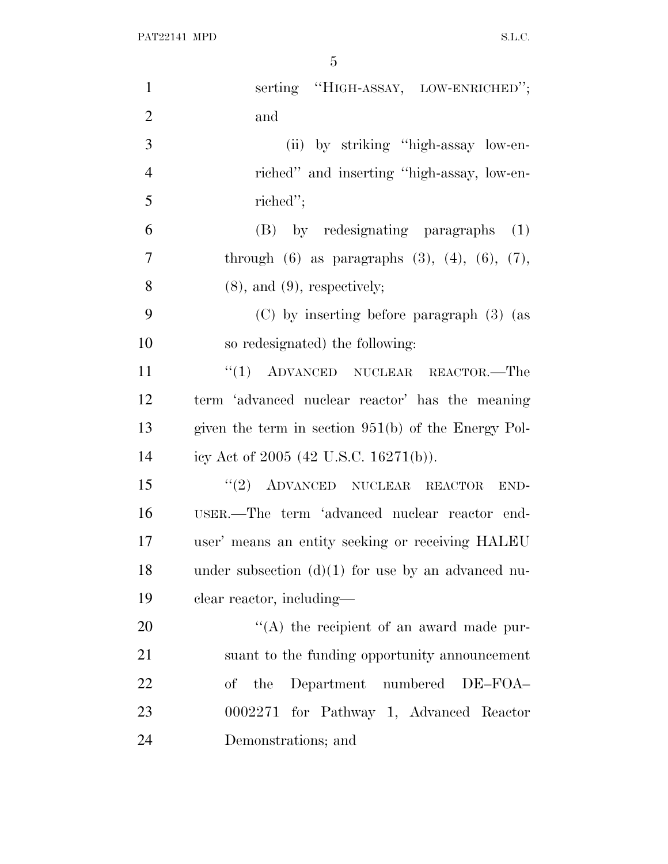| $\mathbf{1}$   | serting "HIGH-ASSAY, LOW-ENRICHED";                         |
|----------------|-------------------------------------------------------------|
| $\overline{2}$ | and                                                         |
| 3              | (ii) by striking "high-assay low-en-                        |
| $\overline{4}$ | riched" and inserting "high-assay, low-en-                  |
| 5              | riched";                                                    |
| 6              | (B) by redesignating paragraphs<br>(1)                      |
| $\overline{7}$ | through $(6)$ as paragraphs $(3)$ , $(4)$ , $(6)$ , $(7)$ , |
| 8              | $(8)$ , and $(9)$ , respectively;                           |
| 9              | $(C)$ by inserting before paragraph $(3)$ (as               |
| 10             | so redesignated) the following:                             |
| 11             | $``(1)$ ADVANCED NUCLEAR REACTOR.—The                       |
| 12             | term 'advanced nuclear reactor' has the meaning             |
| 13             | given the term in section $951(b)$ of the Energy Pol-       |
| 14             | icy Act of 2005 (42 U.S.C. 16271(b)).                       |
| 15             | $``(2)$ ADVANCED NUCLEAR REACTOR<br>END-                    |
| 16             | USER.—The term 'advanced nuclear reactor end-               |
| 17             | user' means an entity seeking or receiving HALEU            |
| 18             | under subsection $(d)(1)$ for use by an advanced nu-        |
| 19             | clear reactor, including—                                   |
| 20             | "(A) the recipient of an award made pur-                    |
| 21             | suant to the funding opportunity announcement               |
| 22             | of the Department numbered DE-FOA-                          |
| 23             | 0002271 for Pathway 1, Advanced Reactor                     |
| 24             | Demonstrations; and                                         |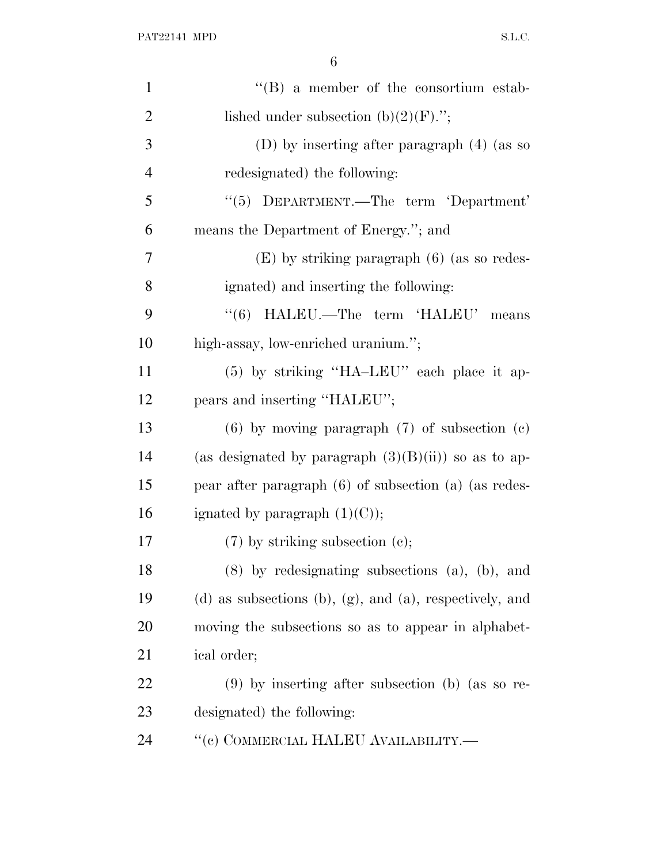| $\mathbf{1}$   | "(B) a member of the consortium estab-                             |
|----------------|--------------------------------------------------------------------|
| $\overline{2}$ | lished under subsection $(b)(2)(F)$ .";                            |
| 3              | (D) by inserting after paragraph $(4)$ (as so                      |
| $\overline{4}$ | redesignated) the following:                                       |
| 5              | $\cdot\cdot$ (5) DEPARTMENT.—The term Department'                  |
| 6              | means the Department of Energy."; and                              |
| 7              | $(E)$ by striking paragraph $(6)$ (as so redes-                    |
| 8              | ignated) and inserting the following:                              |
| 9              | "(6) HALEU.—The term 'HALEU' means                                 |
| 10             | high-assay, low-enriched uranium.";                                |
| 11             | (5) by striking "HA-LEU" each place it ap-                         |
| 12             | pears and inserting "HALEU";                                       |
| 13             | $(6)$ by moving paragraph $(7)$ of subsection $(c)$                |
| 14             | (as designated by paragraph $(3)(B)(ii)$ ) so as to ap-            |
| 15             | pear after paragraph $(6)$ of subsection $(a)$ (as redes-          |
| 16             | ignated by paragraph $(1)(C)$ ;                                    |
| 17             | $(7)$ by striking subsection $(e)$ ;                               |
| 18             | (8) by redesignating subsections (a), (b), and                     |
| 19             | $(d)$ as subsections $(b)$ , $(g)$ , and $(a)$ , respectively, and |
| 20             | moving the subsections so as to appear in alphabet-                |
| 21             | ical order;                                                        |
| 22             | $(9)$ by inserting after subsection (b) (as so re-                 |
| 23             | designated) the following:                                         |
| 24             | $``$ (с) COMMERCIAL HALEU AVAILABILITY.—                           |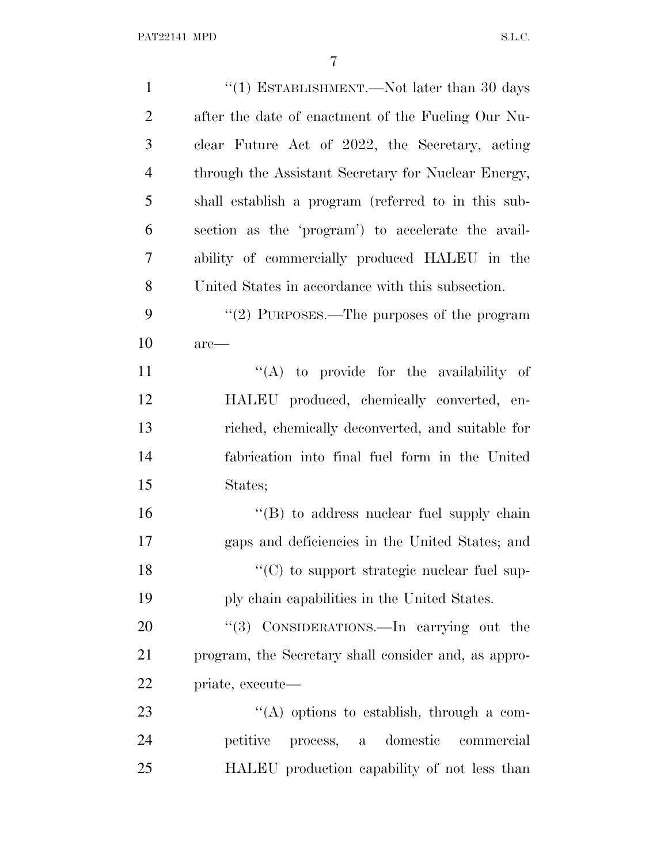| $\mathbf{1}$   | "(1) ESTABLISHMENT.—Not later than 30 days           |
|----------------|------------------------------------------------------|
| $\overline{2}$ | after the date of enactment of the Fueling Our Nu-   |
| 3              | clear Future Act of 2022, the Secretary, acting      |
| $\overline{4}$ | through the Assistant Secretary for Nuclear Energy,  |
| 5              | shall establish a program (referred to in this sub-  |
| 6              | section as the 'program') to accelerate the avail-   |
| 7              | ability of commercially produced HALEU in the        |
| 8              | United States in accordance with this subsection.    |
| 9              | "(2) PURPOSES.—The purposes of the program           |
| 10             | $are-$                                               |
| 11             | $\lq\lq$ to provide for the availability of          |
| 12             | HALEU produced, chemically converted, en-            |
| 13             | riched, chemically deconverted, and suitable for     |
| 14             | fabrication into final fuel form in the United       |
| 15             | States;                                              |
| 16             | $\lq\lq (B)$ to address nuclear fuel supply chain    |
| 17             | gaps and deficiencies in the United States; and      |
| 18             | "(C) to support strategic nuclear fuel sup-          |
| 19             | ply chain capabilities in the United States.         |
| 20             | "(3) CONSIDERATIONS.—In carrying out the             |
| 21             | program, the Secretary shall consider and, as appro- |
| 22             | priate, execute—                                     |
| 23             | $\lq\lq$ options to establish, through a com-        |
| 24             | domestic<br>petitive<br>process, a<br>commercial     |
| 25             | HALEU production capability of not less than         |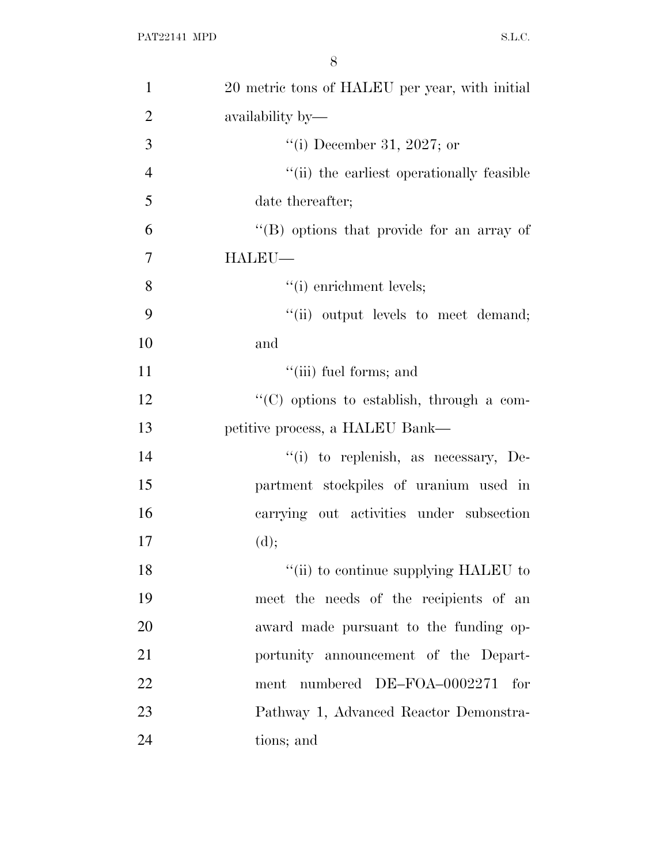| $\mathbf{1}$   | 20 metric tons of HALEU per year, with initial |
|----------------|------------------------------------------------|
| $\overline{2}$ | availability by—                               |
| 3              | "(i) December 31, 2027; or                     |
| $\overline{4}$ | "(ii) the earliest operationally feasible      |
| 5              | date thereafter;                               |
| 6              | "(B) options that provide for an array of      |
| 7              | HALEU-                                         |
| 8              | $"(i)$ enrichment levels;                      |
| 9              | "(ii) output levels to meet demand;            |
| 10             | and                                            |
| 11             | "(iii) fuel forms; and                         |
| 12             | "(C) options to establish, through a com-      |
| 13             | petitive process, a HALEU Bank—                |
| 14             | "(i) to replenish, as necessary, De-           |
| 15             | partment stockpiles of uranium used in         |
| 16             | carrying out activities under subsection       |
| 17             | (d);                                           |
| 18             | "(ii) to continue supplying HALEU to           |
| 19             | meet the needs of the recipients of an         |
| 20             | award made pursuant to the funding op-         |
| 21             | portunity announcement of the Depart-          |
| 22             | numbered DE-FOA-0002271<br>for<br>ment         |
| 23             | Pathway 1, Advanced Reactor Demonstra-         |
| 24             | tions; and                                     |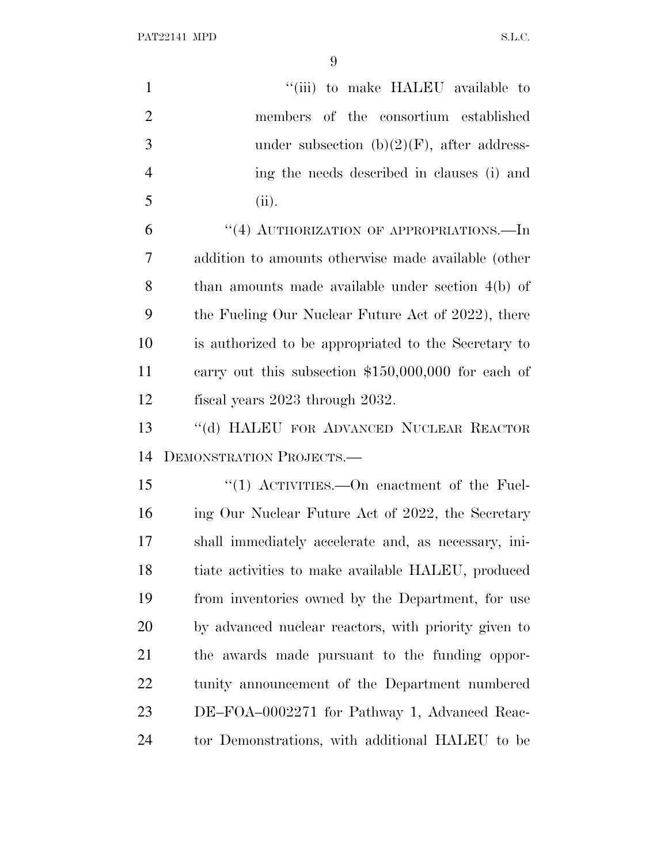PAT22141 MPD S.L.C.

| $\mathbf{1}$   | "(iii) to make HALEU available to                    |
|----------------|------------------------------------------------------|
| $\overline{2}$ | members of the consortium established                |
| 3              | under subsection $(b)(2)(F)$ , after address-        |
| $\overline{4}$ | ing the needs described in clauses (i) and           |
| 5              | (ii).                                                |
| 6              | "(4) AUTHORIZATION OF APPROPRIATIONS.—In             |
| 7              | addition to amounts otherwise made available (other  |
| 8              | than amounts made available under section $4(b)$ of  |
| 9              | the Fueling Our Nuclear Future Act of 2022), there   |
| 10             | is authorized to be appropriated to the Secretary to |
| 11             | carry out this subsection $$150,000,000$ for each of |
| 12             | fiscal years 2023 through 2032.                      |
| 13             | "(d) HALEU FOR ADVANCED NUCLEAR REACTOR              |
| 14             | DEMONSTRATION PROJECTS.-                             |
| 15             | "(1) ACTIVITIES.—On enactment of the Fuel-           |
| 16             | ing Our Nuclear Future Act of 2022, the Secretary    |
| 17             | shall immediately accelerate and, as necessary, ini- |
| 18             | tiate activities to make available HALEU, produced   |
| 19             | from inventories owned by the Department, for use    |
| 20             | by advanced nuclear reactors, with priority given to |
| 21             | the awards made pursuant to the funding oppor-       |
|                |                                                      |
| 22             | tunity announcement of the Department numbered       |
| 23             | DE-FOA-0002271 for Pathway 1, Advanced Reac-         |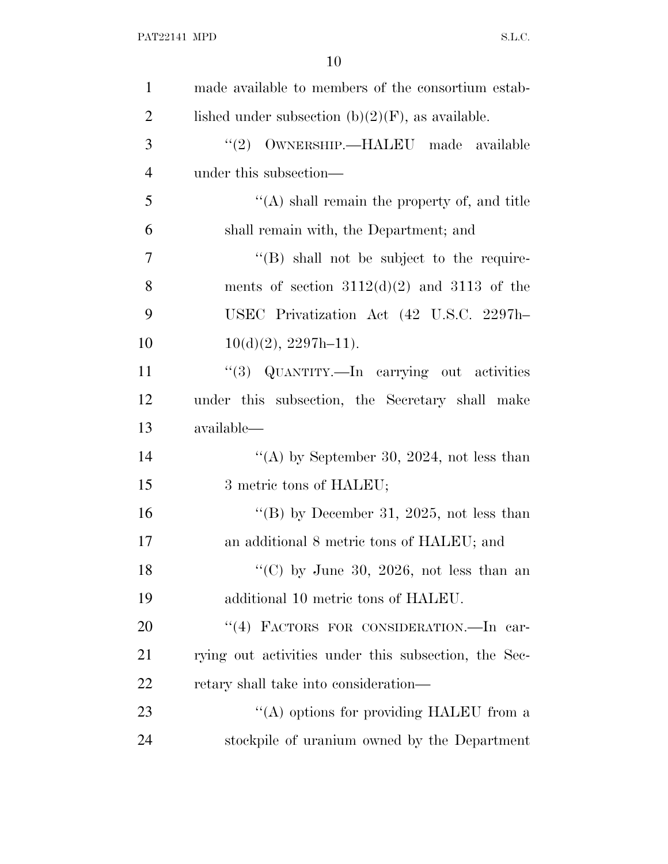| $\mathbf{1}$   | made available to members of the consortium estab-   |
|----------------|------------------------------------------------------|
| $\overline{2}$ | lished under subsection $(b)(2)(F)$ , as available.  |
| 3              | OWNERSHIP.—HALEU made available<br>(2)               |
| $\overline{4}$ | under this subsection—                               |
| 5              | $\lq\lq$ shall remain the property of, and title     |
| 6              | shall remain with, the Department; and               |
| 7              | $\lq\lq (B)$ shall not be subject to the require-    |
| 8              | ments of section $3112(d)(2)$ and $3113$ of the      |
| 9              | USEC Privatization Act (42 U.S.C. 2297h-             |
| 10             | $10(d)(2), 2297h-11$ .                               |
| 11             | "(3) QUANTITY.—In carrying out activities            |
| 12             | under this subsection, the Secretary shall make      |
| 13             | available—                                           |
| 14             | "(A) by September 30, 2024, not less than            |
| 15             | 3 metric tons of HALEU;                              |
| 16             | "(B) by December 31, 2025, not less than             |
| 17             | an additional 8 metric tons of HALEU; and            |
| 18             | "(C) by June 30, 2026, not less than an              |
| 19             | additional 10 metric tons of HALEU.                  |
| 20             | "(4) FACTORS FOR CONSIDERATION.—In car-              |
| 21             | rying out activities under this subsection, the Sec- |
| 22             | retary shall take into consideration—                |
| 23             | "(A) options for providing HALEU from a              |
| 24             | stockpile of uranium owned by the Department         |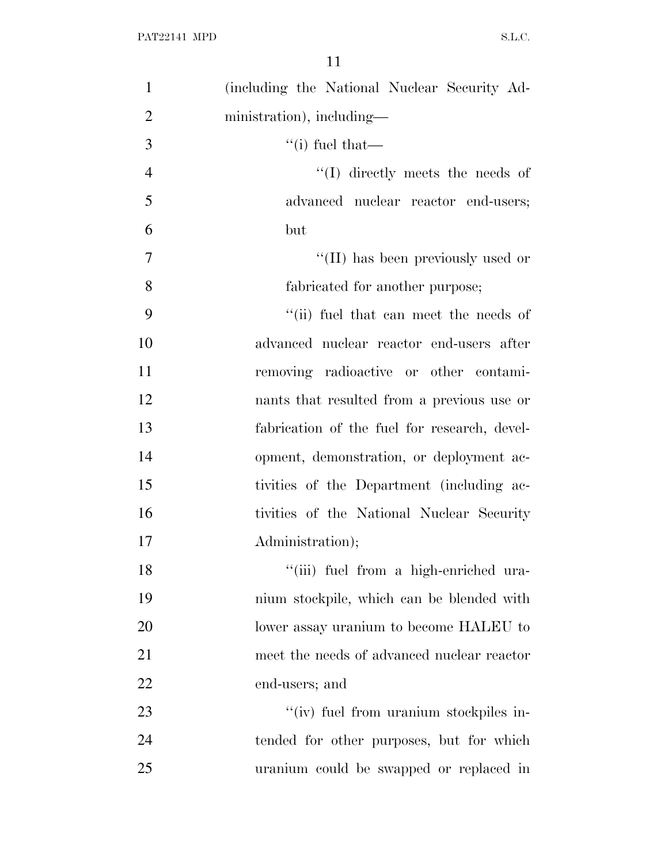| $\mathbf{1}$   | (including the National Nuclear Security Ad- |
|----------------|----------------------------------------------|
| $\overline{2}$ | ministration), including—                    |
| 3              | $``(i)$ fuel that—                           |
| $\overline{4}$ | $\lq\lq$ directly meets the needs of         |
| 5              | advanced nuclear reactor end-users;          |
| 6              | but                                          |
| 7              | "(II) has been previously used or            |
| 8              | fabricated for another purpose;              |
| 9              | "(ii) fuel that can meet the needs of        |
| 10             | advanced nuclear reactor end-users after     |
| 11             | removing radioactive or other contami-       |
| 12             | nants that resulted from a previous use or   |
| 13             | fabrication of the fuel for research, devel- |
| 14             | opment, demonstration, or deployment ac-     |
| 15             | tivities of the Department (including ac-    |
| 16             | tivities of the National Nuclear Security    |
| 17             | Administration);                             |
| 18             | "(iii) fuel from a high-enriched ura-        |
| 19             | nium stockpile, which can be blended with    |
| 20             | lower assay uranium to become HALEU to       |
| 21             | meet the needs of advanced nuclear reactor   |
| 22             | end-users; and                               |
| 23             | "(iv) fuel from uranium stockpiles in-       |
| 24             | tended for other purposes, but for which     |
| 25             | uranium could be swapped or replaced in      |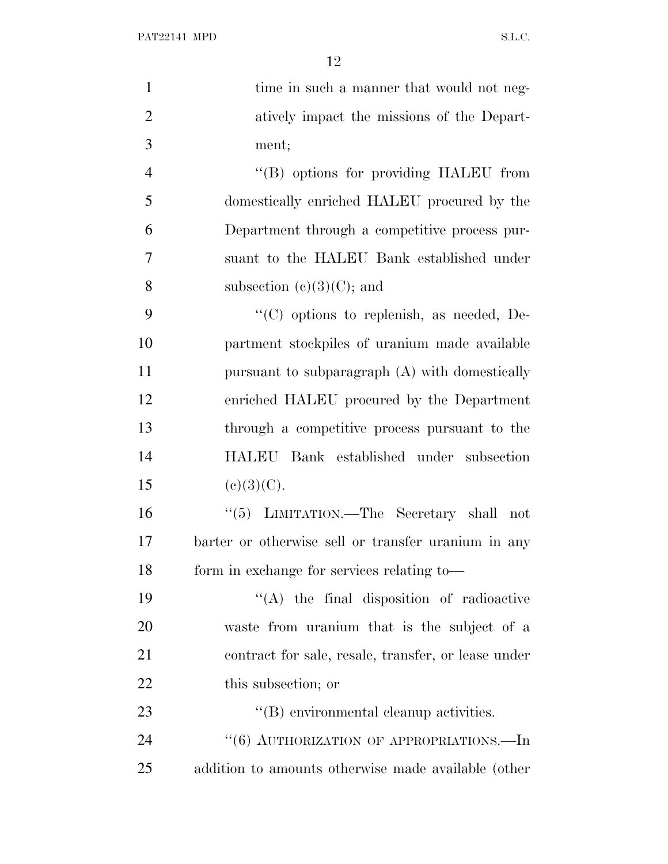| $\mathbf{1}$   | time in such a manner that would not neg-           |
|----------------|-----------------------------------------------------|
| $\overline{2}$ | atively impact the missions of the Depart-          |
| 3              | ment;                                               |
| $\overline{4}$ | "(B) options for providing HALEU from               |
| 5              | domestically enriched HALEU procured by the         |
| 6              | Department through a competitive process pur-       |
| 7              | suant to the HALEU Bank established under           |
| 8              | subsection $(e)(3)(C)$ ; and                        |
| 9              | $\lq\lq$ options to replenish, as needed, De-       |
| 10             | partment stockpiles of uranium made available       |
| 11             | pursuant to subparagraph (A) with domestically      |
| 12             | enriched HALEU procured by the Department           |
| 13             | through a competitive process pursuant to the       |
| 14             | HALEU Bank established under subsection             |
| 15             | (c)(3)(C).                                          |
| 16             | "(5) LIMITATION.—The Secretary shall not            |
| 17             | barter or otherwise sell or transfer uranium in any |
| 18             | form in exchange for services relating to-          |
| 19             | "(A) the final disposition of radioactive           |
| 20             | waste from uranium that is the subject of a         |
| 21             | contract for sale, resale, transfer, or lease under |
| 22             | this subsection; or                                 |
| 23             | $\lq\lq$ environmental cleanup activities.          |
| 24             | "(6) AUTHORIZATION OF APPROPRIATIONS.—In            |
| 25             | addition to amounts otherwise made available (other |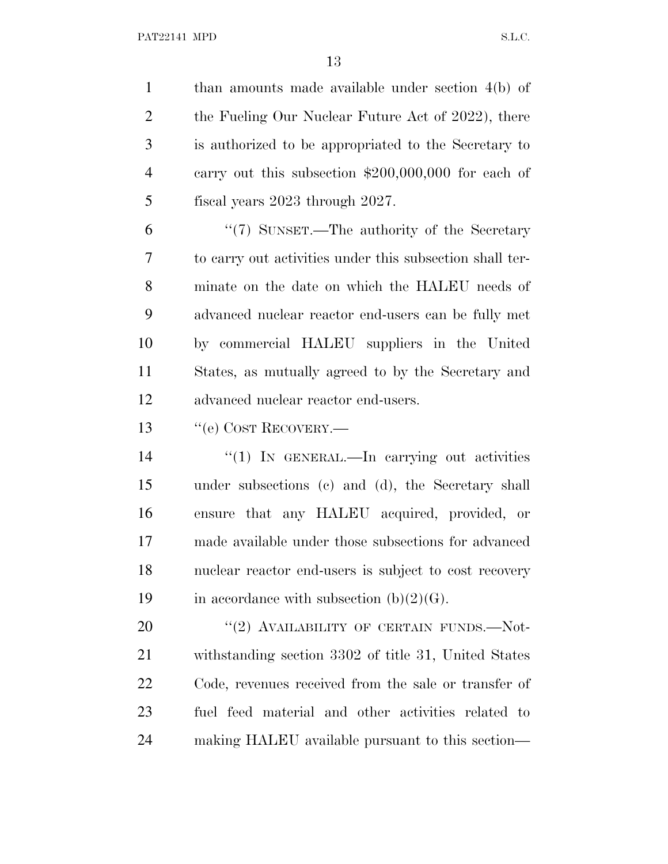than amounts made available under section 4(b) of 2 the Fueling Our Nuclear Future Act of 2022), there is authorized to be appropriated to the Secretary to carry out this subsection \$200,000,000 for each of fiscal years 2023 through 2027.

 ''(7) SUNSET.—The authority of the Secretary to carry out activities under this subsection shall ter- minate on the date on which the HALEU needs of advanced nuclear reactor end-users can be fully met by commercial HALEU suppliers in the United States, as mutually agreed to by the Secretary and advanced nuclear reactor end-users.

13 "(e) COST RECOVERY.—

 $\frac{1}{2}$  In GENERAL.—In carrying out activities under subsections (c) and (d), the Secretary shall ensure that any HALEU acquired, provided, or made available under those subsections for advanced nuclear reactor end-users is subject to cost recovery 19 in accordance with subsection  $(b)(2)(G)$ .

20 "(2) AVAILABILITY OF CERTAIN FUNDS.—Not- withstanding section 3302 of title 31, United States Code, revenues received from the sale or transfer of fuel feed material and other activities related to making HALEU available pursuant to this section—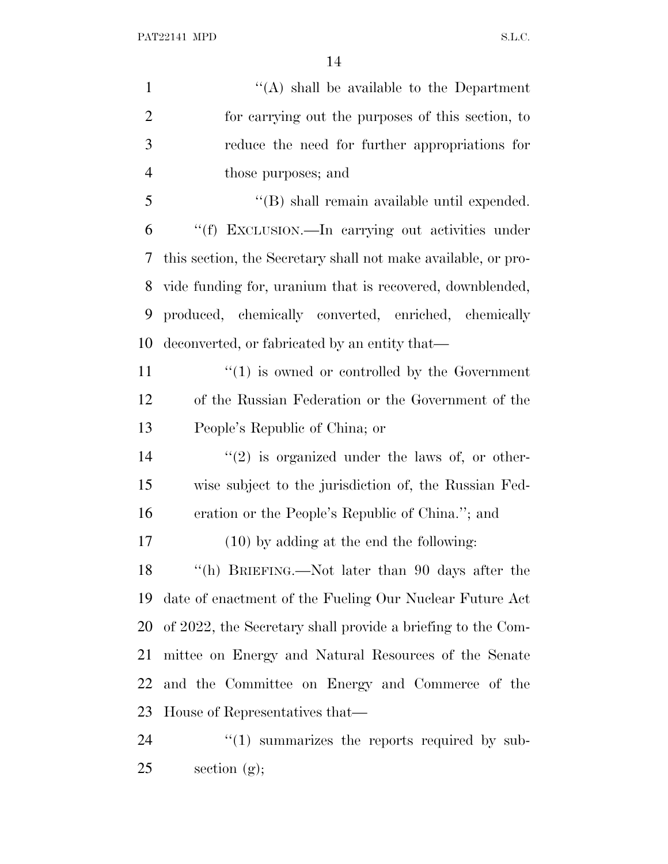| $\mathbf{1}$   | "(A) shall be available to the Department                     |
|----------------|---------------------------------------------------------------|
| $\overline{2}$ | for carrying out the purposes of this section, to             |
| 3              | reduce the need for further appropriations for                |
| 4              | those purposes; and                                           |
| 5              | $\lq\lq$ shall remain available until expended.               |
| 6              | "(f) EXCLUSION.—In carrying out activities under              |
| 7              | this section, the Secretary shall not make available, or pro- |
| 8              | vide funding for, uranium that is recovered, downblended,     |
| 9              | produced, chemically converted, enriched, chemically          |
| 10             | deconverted, or fabricated by an entity that—                 |
| 11             | $\cdot\cdot\cdot(1)$ is owned or controlled by the Government |
| 12             | of the Russian Federation or the Government of the            |
| 13             | People's Republic of China; or                                |
| 14             | $\lq(2)$ is organized under the laws of, or other-            |
| 15             | wise subject to the jurisdiction of, the Russian Fed-         |
| 16             | eration or the People's Republic of China."; and              |
| 17             | $(10)$ by adding at the end the following:                    |
| 18             | "(h) BRIEFING.—Not later than 90 days after the               |
| 19             | date of enactment of the Fueling Our Nuclear Future Act       |
| 20             | of 2022, the Secretary shall provide a briefing to the Com-   |
| 21             | mittee on Energy and Natural Resources of the Senate          |
| 22             | and the Committee on Energy and Commerce of the               |
| 23             | House of Representatives that—                                |
| 24             | $\lq(1)$ summarizes the reports required by sub-              |
|                |                                                               |

section (g);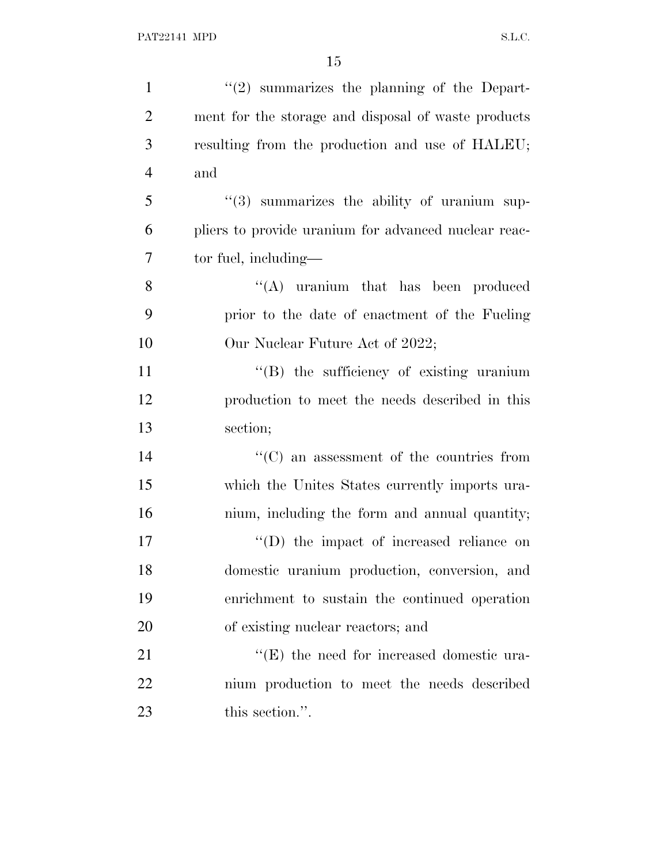| $\mathbf{1}$   | $\lq(2)$ summarizes the planning of the Depart-         |
|----------------|---------------------------------------------------------|
| $\overline{2}$ | ment for the storage and disposal of waste products     |
| 3              | resulting from the production and use of HALEU;         |
| $\overline{4}$ | and                                                     |
| 5              | $\cdot\cdot$ (3) summarizes the ability of uranium sup- |
| 6              | pliers to provide uranium for advanced nuclear reac-    |
| 7              | tor fuel, including—                                    |
| 8              | "(A) uranium that has been produced                     |
| 9              | prior to the date of enactment of the Fueling           |
| 10             | Our Nuclear Future Act of 2022;                         |
| 11             | "(B) the sufficiency of existing uranium                |
| 12             | production to meet the needs described in this          |
| 13             | section;                                                |
| 14             | $\lq\lq$ (C) an assessment of the countries from        |
| 15             | which the Unites States currently imports ura-          |
| 16             | nium, including the form and annual quantity;           |
| 17             | $\lq\lq$ the impact of increased reliance on            |
| 18             | domestic uranium production, conversion, and            |
| 19             | enrichment to sustain the continued operation           |
| 20             | of existing nuclear reactors; and                       |
| 21             | $\lq\lq(E)$ the need for increased domestic ura-        |
| 22             | nium production to meet the needs described             |
| 23             | this section.".                                         |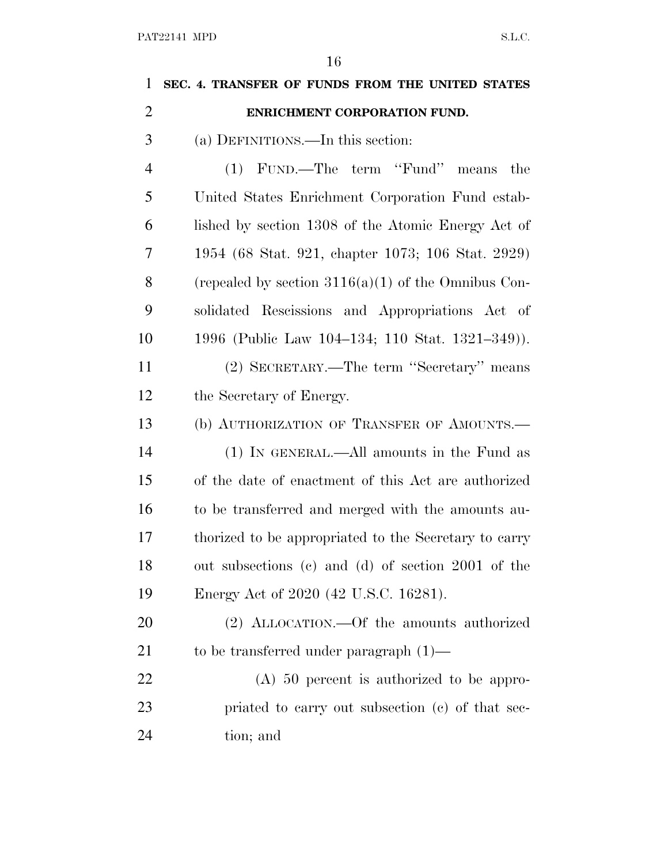| 1              | SEC. 4. TRANSFER OF FUNDS FROM THE UNITED STATES      |
|----------------|-------------------------------------------------------|
| $\overline{2}$ | ENRICHMENT CORPORATION FUND.                          |
| 3              | (a) DEFINITIONS.—In this section:                     |
| $\overline{4}$ | FUND.—The term "Fund"<br>(1)<br>the<br>means          |
| 5              | United States Enrichment Corporation Fund estab-      |
| 6              | lished by section 1308 of the Atomic Energy Act of    |
| 7              | 1954 (68 Stat. 921, chapter 1073; 106 Stat. 2929)     |
| 8              | (repealed by section $3116(a)(1)$ of the Omnibus Con- |
| 9              | solidated Rescissions and Appropriations Act of       |
| 10             | 1996 (Public Law 104–134; 110 Stat. 1321–349)).       |
| 11             | (2) SECRETARY.—The term "Secretary" means             |
| 12             | the Secretary of Energy.                              |
| 13             | (b) AUTHORIZATION OF TRANSFER OF AMOUNTS.—            |
| 14             | (1) IN GENERAL.—All amounts in the Fund as            |
| 15             | of the date of enactment of this Act are authorized   |
| 16             | to be transferred and merged with the amounts au-     |
| 17             | thorized to be appropriated to the Secretary to carry |
| 18             | out subsections (c) and (d) of section 2001 of the    |
| 19             | Energy Act of 2020 (42 U.S.C. 16281).                 |
| 20             | (2) ALLOCATION.—Of the amounts authorized             |
| 21             | to be transferred under paragraph $(1)$ —             |
| 22             | $(A)$ 50 percent is authorized to be appro-           |
| 23             | priated to carry out subsection (c) of that sec-      |
| 24             | tion; and                                             |